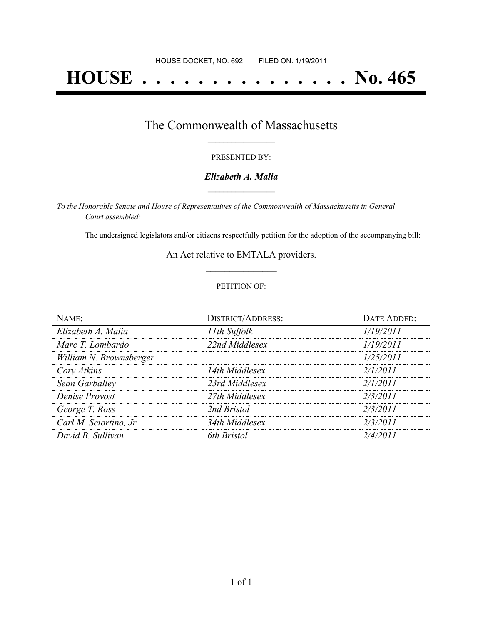# **HOUSE . . . . . . . . . . . . . . . No. 465**

## The Commonwealth of Massachusetts **\_\_\_\_\_\_\_\_\_\_\_\_\_\_\_\_\_**

#### PRESENTED BY:

#### *Elizabeth A. Malia* **\_\_\_\_\_\_\_\_\_\_\_\_\_\_\_\_\_**

*To the Honorable Senate and House of Representatives of the Commonwealth of Massachusetts in General Court assembled:*

The undersigned legislators and/or citizens respectfully petition for the adoption of the accompanying bill:

An Act relative to EMTALA providers. **\_\_\_\_\_\_\_\_\_\_\_\_\_\_\_**

#### PETITION OF:

| NAME:                   | <b>DISTRICT/ADDRESS:</b> | DATE ADDED: |
|-------------------------|--------------------------|-------------|
| Elizabeth A. Malia      | 11th Suffolk             | 1/19/2011   |
| Marc T. Lombardo        | 22nd Middlesex           | 1/19/2011   |
| William N. Brownsberger |                          | 1/25/2011   |
| Cory Atkins             | 14th Middlesex           | 2/1/2011    |
| Sean Garballey          | 23rd Middlesex           | 2/1/2011    |
| Denise Provost          | 27th Middlesex           | 2/3/2011    |
| George T. Ross          | 2nd Bristol              | 2/3/2011    |
| Carl M. Sciortino, Jr.  | 34th Middlesex           | 2/3/2011    |
| David B. Sullivan       | 6th Bristol              | 2/4/2011    |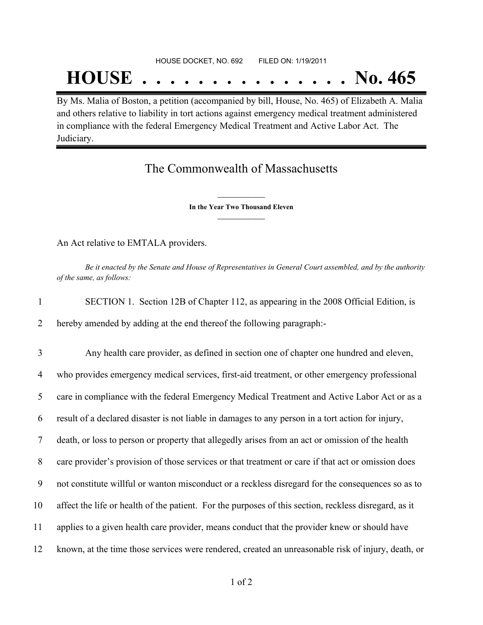#### HOUSE DOCKET, NO. 692 FILED ON: 1/19/2011

## **HOUSE . . . . . . . . . . . . . . . No. 465**

By Ms. Malia of Boston, a petition (accompanied by bill, House, No. 465) of Elizabeth A. Malia and others relative to liability in tort actions against emergency medical treatment administered in compliance with the federal Emergency Medical Treatment and Active Labor Act. The Judiciary.

## The Commonwealth of Massachusetts

**\_\_\_\_\_\_\_\_\_\_\_\_\_\_\_ In the Year Two Thousand Eleven \_\_\_\_\_\_\_\_\_\_\_\_\_\_\_**

An Act relative to EMTALA providers.

Be it enacted by the Senate and House of Representatives in General Court assembled, and by the authority *of the same, as follows:*

1 SECTION 1. Section 12B of Chapter 112, as appearing in the 2008 Official Edition, is

2 hereby amended by adding at the end thereof the following paragraph:-

 Any health care provider, as defined in section one of chapter one hundred and eleven, who provides emergency medical services, first-aid treatment, or other emergency professional care in compliance with the federal Emergency Medical Treatment and Active Labor Act or as a result of a declared disaster is not liable in damages to any person in a tort action for injury, death, or loss to person or property that allegedly arises from an act or omission of the health care provider's provision of those services or that treatment or care if that act or omission does not constitute willful or wanton misconduct or a reckless disregard for the consequences so as to affect the life or health of the patient. For the purposes of this section, reckless disregard, as it applies to a given health care provider, means conduct that the provider knew or should have known, at the time those services were rendered, created an unreasonable risk of injury, death, or